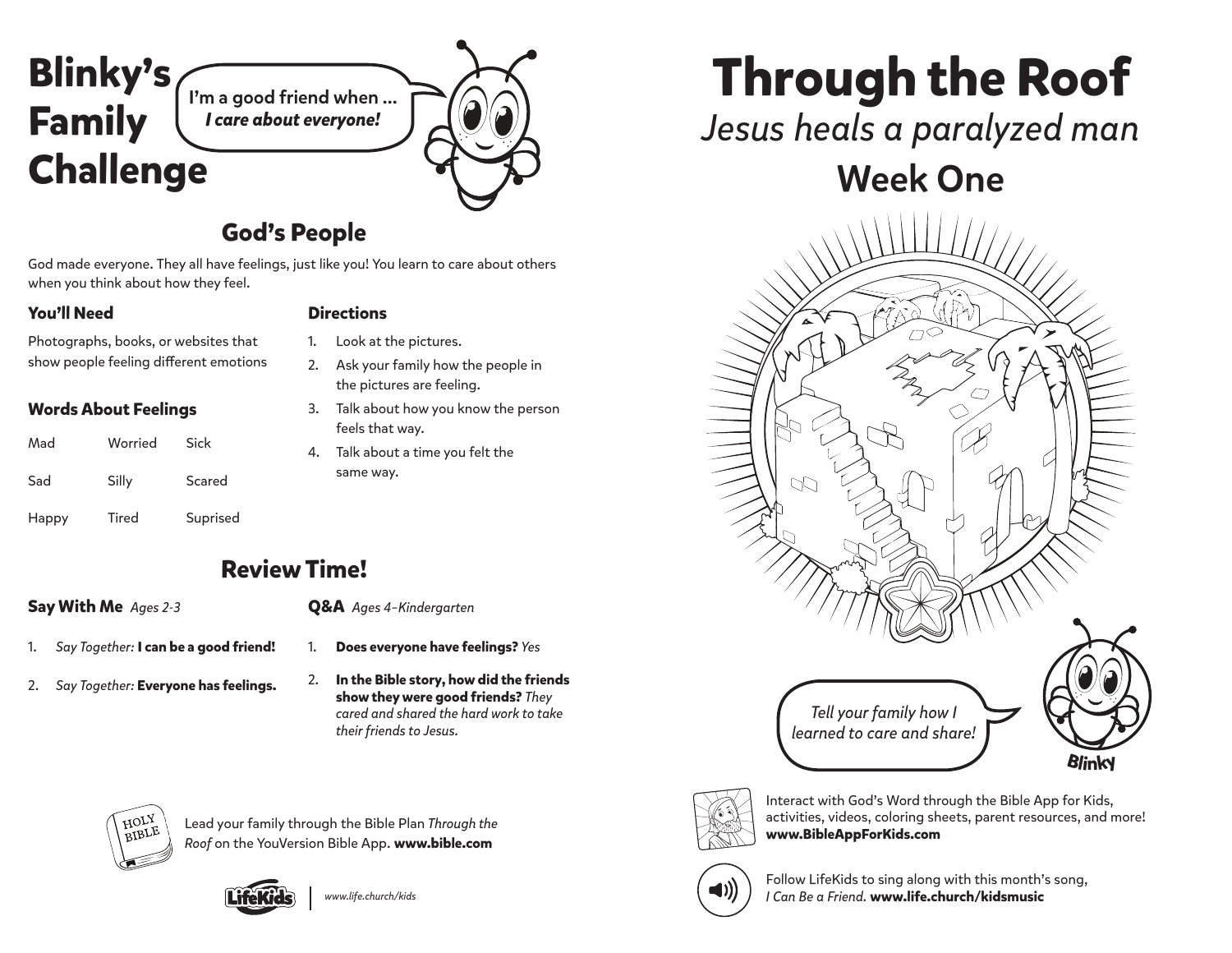

#### **God's People**

God made everyone. They all have feelings, just like you! You learn to care about others when you think about how they feel.

Photographs, books, or websites that show people feeling different emotions

#### **Words About Feelings**

| Mad   | Worried | Sick     |
|-------|---------|----------|
| Sad   | Silly   | Scared   |
| Happy | Tired   | Suprised |

#### **You'll Need Directions**

- 1. Look at the pictures.
- 2. Ask your family how the people in the pictures are feeling.
- 3. Talk about how you know the person feels that way.
- 4. Talk about a time you felt the same way.

### **Review Time!**

#### **Say With Me** *Ages 2-3*

- **Q&A** *Ages 4–Kindergarten*
- 1. *Say Together:* **I can be a good friend!**
- 2. *Say Together:* **Everyone has feelings.**
- 
- 1. **Does everyone have feelings?** *Yes*
- 2. **In the Bible story, how did the friends show they were good friends?** *They cared and shared the hard work to take their friends to Jesus.*



Lead your family through the Bible Plan *Through the Roof* on the YouVersion Bible App. **www.bible.com**



# **Through the Roof**

## *Jesus heals a paralyzed man*

# Week One





Interact with God's Word through the Bible App for Kids, activities, videos, coloring sheets, parent resources, and more! **www.BibleAppForKids.com**



Follow LifeKids to sing along with this month's song, *I Can Be a Friend.* **www.life.church/kidsmusic**